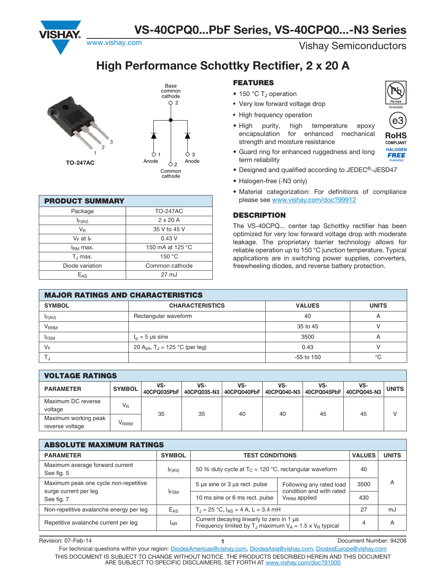www.vishay.com **Vishay.com** Vishay.com

# **High Performance Schottky Rectifier, 2 x 20 A**



| <b>PRODUCT SUMMARY</b> |                  |  |  |  |  |  |  |
|------------------------|------------------|--|--|--|--|--|--|
| Package                | <b>TO-247AC</b>  |  |  |  |  |  |  |
| $I_{F(AV)}$            | $2 \times 20$ A  |  |  |  |  |  |  |
| V <sub>R</sub>         | 35 V to 45 V     |  |  |  |  |  |  |
| $V_F$ at $I_F$         | 0.43V            |  |  |  |  |  |  |
| I <sub>RM</sub> max.   | 150 mA at 125 °C |  |  |  |  |  |  |
| $T_{\perp}$ max.       | 150 °C           |  |  |  |  |  |  |
| Diode variation        | Common cathode   |  |  |  |  |  |  |
| $E_{AS}$               | $27 \text{ mJ}$  |  |  |  |  |  |  |

#### **FEATURES**

- $\bullet$  150 °C T<sub>J</sub> operation
- Very low forward voltage drop
- High frequency operation
- High purity, high temperature epoxy encapsulation for enhanced mechanical strength and moisture resistance



**RoHS COMPLIANT** 

Available

**HALOGEN** 

**FREE** 

- Guard ring for enhanced ruggedness and long term reliability
- Designed and qualified according to JEDEC®-JESD47
- Halogen-free (-N3 only)
- Material categorization: For definitions of compliance please see www.vishay.com/doc?99912

#### **DESCRIPTION**

The VS-40CPQ... center tap Schottky rectifier has been optimized for very low forward voltage drop with moderate leakage. The proprietary barrier technology allows for reliable operation up to 150 °C junction temperature. Typical applications are in switching power supplies, converters, freewheeling diodes, and reverse battery protection.

| <b>MAJOR RATINGS AND CHARACTERISTICS</b> |                                                        |               |                |  |  |  |  |  |  |
|------------------------------------------|--------------------------------------------------------|---------------|----------------|--|--|--|--|--|--|
| <b>SYMBOL</b>                            | <b>CHARACTERISTICS</b>                                 | <b>VALUES</b> | <b>UNITS</b>   |  |  |  |  |  |  |
| $I_{F(AV)}$                              | Rectangular waveform                                   | 40            | $\overline{A}$ |  |  |  |  |  |  |
| V <sub>RRM</sub>                         |                                                        | 35 to 45      |                |  |  |  |  |  |  |
| <b>IFSM</b>                              | $t_n = 5$ µs sine                                      | 3500          |                |  |  |  |  |  |  |
| $V_F$                                    | 20 A <sub>pk</sub> , T <sub>J</sub> = 125 °C (per leg) | 0.43          |                |  |  |  |  |  |  |
|                                          |                                                        | $-55$ to 150  | °C             |  |  |  |  |  |  |

| <b>VOLTAGE RATINGS</b>                  |                  |                    |                                  |     |                    |                    |                    |              |  |
|-----------------------------------------|------------------|--------------------|----------------------------------|-----|--------------------|--------------------|--------------------|--------------|--|
| <b>PARAMETER</b>                        | <b>SYMBOL</b>    | VS-<br>40CPQ035PbF | VS-<br>40CPQ035-N3   40CPQ040PbF | VS- | VS-<br>40CPQ040-N3 | VS-<br>40CPQ045PbF | VS-<br>40CPQ045-N3 | <b>UNITS</b> |  |
| Maximum DC reverse<br>voltage           | $V_{R}$          |                    |                                  | 40  | 40                 | 45                 | 45                 |              |  |
| Maximum working peak<br>reverse voltage | V <sub>RWM</sub> | 35                 | 35                               |     |                    |                    |                    |              |  |

| <b>ABSOLUTE MAXIMUM RATINGS</b>                                |                 |                                                                                                                |                                                      |              |    |  |  |  |
|----------------------------------------------------------------|-----------------|----------------------------------------------------------------------------------------------------------------|------------------------------------------------------|--------------|----|--|--|--|
| <b>PARAMETER</b>                                               | <b>SYMBOL</b>   | <b>TEST CONDITIONS</b>                                                                                         | <b>VALUES</b>                                        | <b>UNITS</b> |    |  |  |  |
| Maximum average forward current<br>See fig. 5                  | $I_{F(AV)}$     | 50 % duty cycle at $T_C = 120$ °C, rectangular waveform                                                        |                                                      |              |    |  |  |  |
| Maximum peak one cycle non-repetitive<br>surge current per leg | <b>I</b> FSM    | $5 \mu s$ sine or $3 \mu s$ rect. pulse                                                                        | Following any rated load<br>condition and with rated | 3500         | A  |  |  |  |
| See fig. 7                                                     |                 | 10 ms sine or 6 ms rect. pulse                                                                                 | $V_{RRM}$ applied                                    | 430          |    |  |  |  |
| Non-repetitive avalanche energy per leg                        | $E_{AS}$        | $T_J = 25 °C$ , $I_{AS} = 4 A$ , L = 3.4 mH                                                                    |                                                      |              | mJ |  |  |  |
| Repetitive avalanche current per leg                           | <sup>I</sup> AR | Current decaying linearly to zero in 1 µs<br>Frequency limited by $T_J$ maximum $V_A = 1.5 \times V_B$ typical | 4                                                    | A            |    |  |  |  |

Revision: 07-Feb-14 **1** Document Number: 94208 For technical questions within your region: DiodesAmericas@vishay.com, DiodesAsia@vishay.com, DiodesEurope@vishay.com THIS DOCUMENT IS SUBJECT TO CHANGE WITHOUT NOTICE. THE PRODUCTS DESCRIBED HEREIN AND THIS DOCUMENT ARE SUBJECT TO SPECIFIC DISCLAIMERS, SET FORTH AT www.vishay.com/doc?91000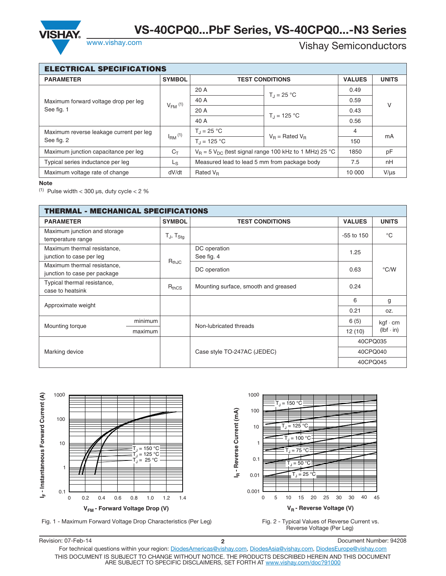

## Vishay Semiconductors

| <b>ELECTRICAL SPECIFICATIONS</b>                   |                |                                                               |                        |           |    |  |  |  |
|----------------------------------------------------|----------------|---------------------------------------------------------------|------------------------|-----------|----|--|--|--|
| <b>PARAMETER</b>                                   | <b>SYMBOL</b>  |                                                               | <b>TEST CONDITIONS</b> |           |    |  |  |  |
| Maximum forward voltage drop per leg<br>See fig. 1 |                | 20 A                                                          | $T_{d} = 25 °C$        | 0.49      |    |  |  |  |
|                                                    | $V_{FM}$ (1)   | 40 A                                                          |                        | 0.59      | V  |  |  |  |
|                                                    |                | 20A                                                           | $T_{\rm d}$ = 125 °C   | 0.43      |    |  |  |  |
|                                                    |                | 40 A                                                          |                        | 0.56      |    |  |  |  |
| Maximum reverse leakage current per leg            | $IRM$ (1)      | $T_J = 25 °C$                                                 | $V_R$ = Rated $V_R$    | 4         | mA |  |  |  |
| See fig. 2                                         |                | $T_{\rm d}$ = 125 °C                                          |                        | 150       |    |  |  |  |
| Maximum junction capacitance per leg               | $C_{\text{t}}$ | $V_R$ = 5 $V_{DC}$ (test signal range 100 kHz to 1 MHz) 25 °C |                        | 1850      | pF |  |  |  |
| Typical series inductance per leg                  | L <sub>S</sub> | Measured lead to lead 5 mm from package body                  | 7.5                    | nH        |    |  |  |  |
| Maximum voltage rate of change                     | dV/dt          | Rated $V_R$                                                   | 10 000                 | $V/\mu s$ |    |  |  |  |

<sup>(1)</sup> Pulse width  $<$  300 µs, duty cycle  $<$  2  $%$ 

| THERMAL - MECHANICAL SPECIFICATIONS                         |         |                     |                                      |               |                  |  |  |
|-------------------------------------------------------------|---------|---------------------|--------------------------------------|---------------|------------------|--|--|
| <b>PARAMETER</b>                                            |         | <b>SYMBOL</b>       | <b>TEST CONDITIONS</b>               | <b>VALUES</b> | <b>UNITS</b>     |  |  |
| Maximum junction and storage<br>temperature range           |         | $T_{J}$ , $T_{Stq}$ |                                      | $-55$ to 150  | $^{\circ}C$      |  |  |
| Maximum thermal resistance,<br>junction to case per leg     |         | $R_{thJC}$          | DC operation<br>See fig. 4           | 1.25          |                  |  |  |
| Maximum thermal resistance,<br>junction to case per package |         |                     | DC operation                         | 0.63          | °C/W             |  |  |
| Typical thermal resistance,<br>case to heatsink             |         | $R_{thCS}$          | Mounting surface, smooth and greased | 0.24          |                  |  |  |
| Approximate weight                                          |         |                     |                                      | 6             | g                |  |  |
|                                                             |         |                     |                                      | 0.21          | OZ.              |  |  |
|                                                             | minimum |                     | Non-lubricated threads               | 6(5)          | $kgf \cdot cm$   |  |  |
| Mounting torque                                             | maximum |                     |                                      | 12(10)        | $(lbf \cdot in)$ |  |  |
|                                                             |         |                     |                                      | 40CPQ035      |                  |  |  |
| Marking device                                              |         |                     | Case style TO-247AC (JEDEC)          | 40CPQ040      |                  |  |  |
|                                                             |         |                     |                                      | 40CPQ045      |                  |  |  |



Revision: 07-Feb-14 **2** Document Number: 94208 For technical questions within your region: DiodesAmericas@vishay.com, DiodesAsia@vishay.com, DiodesEurope@vishay.com THIS DOCUMENT IS SUBJECT TO CHANGE WITHOUT NOTICE. THE PRODUCTS DESCRIBED HEREIN AND THIS DOCUMENT ARE SUBJECT TO SPECIFIC DISCLAIMERS, SET FORTH AT www.vishay.com/doc?91000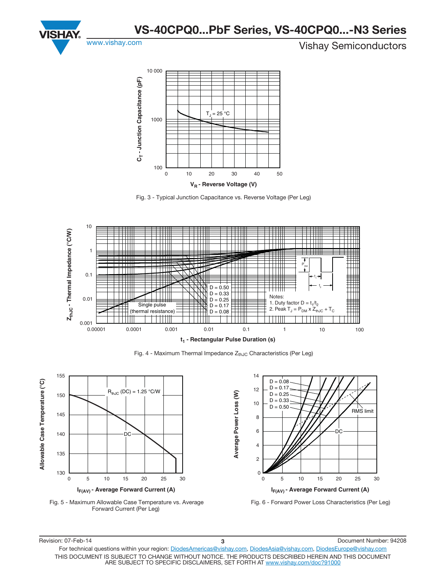



Fig. 3 - Typical Junction Capacitance vs. Reverse Voltage (Per Leg)



Fig. 4 - Maximum Thermal Impedance  $Z_{th,IC}$  Characteristics (Per Leg)







Fig. 6 - Forward Power Loss Characteristics (Per Leg)

Revision: 07-Feb-14 **3** Document Number: 94208 For technical questions within your region: DiodesAmericas@vishay.com, DiodesAsia@vishay.com, DiodesEurope@vishay.com THIS DOCUMENT IS SUBJECT TO CHANGE WITHOUT NOTICE. THE PRODUCTS DESCRIBED HEREIN AND THIS DOCUMENT ARE SUBJECT TO SPECIFIC DISCLAIMERS, SET FORTH AT www.vishay.com/doc?91000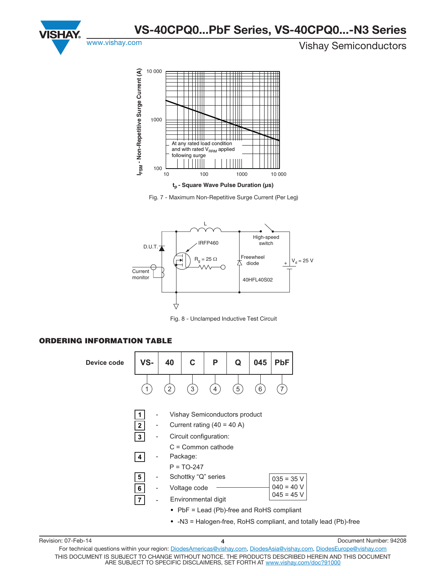



Fig. 7 - Maximum Non-Repetitive Surge Current (Per Leg)



Fig. 8 - Unclamped Inductive Test Circuit

### **ORDERING INFORMATION TABLE**



| Revision: 07-Feb-14 |                                                                                                                                                                                  | Document Number: 94208 |
|---------------------|----------------------------------------------------------------------------------------------------------------------------------------------------------------------------------|------------------------|
|                     | For technical questions within your region: DiodesAmericas@vishay.com, DiodesAsia@vishay.com, DiodesEurope@vishay.com                                                            |                        |
|                     | THIS DOCUMENT IS SUBJECT TO CHANGE WITHOUT NOTICE. THE PRODUCTS DESCRIBED HEREIN AND THIS DOCUMENT<br>ARE SUBJECT TO SPECIFIC DISCLAIMERS, SET FORTH AT www.vishav.com/doc?91000 |                        |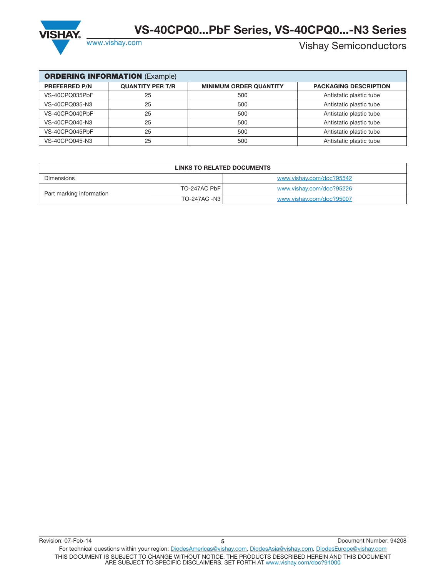

# Vishay Semiconductors

| <b>ORDERING INFORMATION (Example)</b> |                         |                               |                              |  |  |  |  |  |  |  |
|---------------------------------------|-------------------------|-------------------------------|------------------------------|--|--|--|--|--|--|--|
| <b>PREFERRED P/N</b>                  | <b>QUANTITY PER T/R</b> | <b>MINIMUM ORDER QUANTITY</b> | <b>PACKAGING DESCRIPTION</b> |  |  |  |  |  |  |  |
| VS-40CPQ035PbF                        | 25                      | 500                           | Antistatic plastic tube      |  |  |  |  |  |  |  |
| VS-40CPQ035-N3                        | 25                      | 500                           | Antistatic plastic tube      |  |  |  |  |  |  |  |
| VS-40CPQ040PbF                        | 25                      | 500                           | Antistatic plastic tube      |  |  |  |  |  |  |  |
| VS-40CPQ040-N3                        | 25                      | 500                           | Antistatic plastic tube      |  |  |  |  |  |  |  |
| VS-40CPQ045PbF                        | 25                      | 500                           | Antistatic plastic tube      |  |  |  |  |  |  |  |
| VS-40CPQ045-N3                        | 25                      | 500                           | Antistatic plastic tube      |  |  |  |  |  |  |  |

| <b>LINKS TO RELATED DOCUMENTS</b> |              |                          |  |  |  |  |
|-----------------------------------|--------------|--------------------------|--|--|--|--|
| Dimensions                        |              | www.vishay.com/doc?95542 |  |  |  |  |
| Part marking information          | TO-247AC PbF | www.vishav.com/doc?95226 |  |  |  |  |
|                                   | TO-247AC -N3 | www.vishav.com/doc?95007 |  |  |  |  |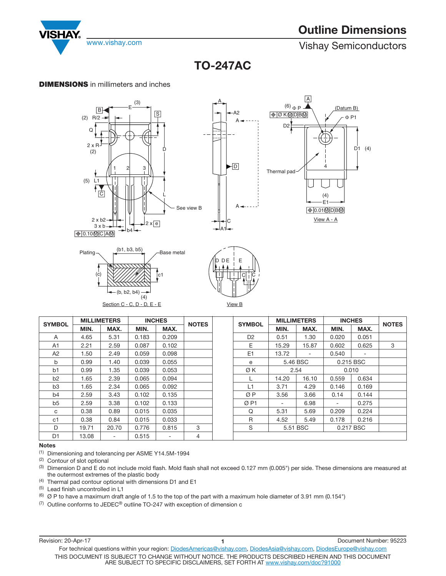

www.vishay.com **Vishay.com** Vishay Semiconductors

**TO-247AC TO-247AC**

### **DIMENSIONS** in millimeters and inches



| <b>SYMBOL</b>  |       | <b>MILLIMETERS</b> | <b>INCHES</b> |       | <b>NOTES</b> | <b>SYMBOL</b>  |       | <b>MILLIMETERS</b> |        | <b>INCHES</b> |              |
|----------------|-------|--------------------|---------------|-------|--------------|----------------|-------|--------------------|--------|---------------|--------------|
|                | MIN.  | MAX.               | MIN.          | MAX.  |              |                | MIN.  | MAX.               | MIN.   | MAX.          | <b>NOTES</b> |
| A              | 4.65  | 5.31               | 0.183         | 0.209 |              | D <sub>2</sub> | 0.51  | 1.30               | 0.020  | 0.051         |              |
| A <sub>1</sub> | 2.21  | 2.59               | 0.087         | 0.102 |              | E              | 15.29 | 15.87              | 0.602  | 0.625         | 3            |
| A <sub>2</sub> | 1.50  | 2.49               | 0.059         | 0.098 |              | E1             | 13.72 | $\sim$             | 0.540  | ۰.            |              |
| b              | 0.99  | 1.40               | 0.039         | 0.055 |              | е              |       | 5.46 BSC           |        | 0.215 BSC     |              |
| b1             | 0.99  | 1.35               | 0.039         | 0.053 |              | ØΚ             |       | 2.54               |        | 0.010         |              |
| b <sub>2</sub> | 1.65  | 2.39               | 0.065         | 0.094 |              |                | 14.20 | 16.10              | 0.559  | 0.634         |              |
| b <sub>3</sub> | 1.65  | 2.34               | 0.065         | 0.092 |              | L1             | 3.71  | 4.29               | 0.146  | 0.169         |              |
| b <sub>4</sub> | 2.59  | 3.43               | 0.102         | 0.135 |              | ØΡ             | 3.56  | 3.66               | 0.14   | 0.144         |              |
| b <sub>5</sub> | 2.59  | 3.38               | 0.102         | 0.133 |              | ØP1            | Ξ.    | 6.98               | $\sim$ | 0.275         |              |
| C              | 0.38  | 0.89               | 0.015         | 0.035 |              | Q              | 5.31  | 5.69               | 0.209  | 0.224         |              |
| c1             | 0.38  | 0.84               | 0.015         | 0.033 |              | R              | 4.52  | 5.49               | 0.178  | 0.216         |              |
| D              | 19.71 | 20.70              | 0.776         | 0.815 | 3            | S              |       | 5.51 BSC           |        | 0.217 BSC     |              |
| D <sub>1</sub> | 13.08 | ۰                  | 0.515         | -     | 4            |                |       |                    |        |               |              |

<sup>(1)</sup> Dimensioning and tolerancing per ASME Y14.5M-1994

(2) Contour of slot optional

 $^{(3)}$  Dimension D and E do not include mold flash. Mold flash shall not exceed 0.127 mm (0.005") per side. These dimensions are measured at the outermost extremes of the plastic body

(4) Thermal pad contour optional with dimensions D1 and E1

(5) Lead finish uncontrolled in L1

(6)  $\varnothing$  P to have a maximum draft angle of 1.5 to the top of the part with a maximum hole diameter of 3.91 mm (0.154")

(7) Outline conforms to JEDEC® outline TO-247 with exception of dimension c